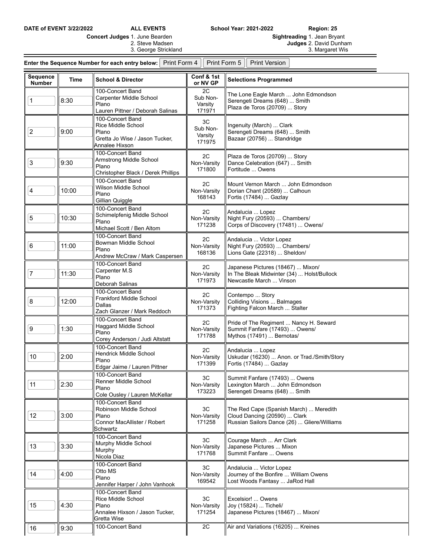**DATE of EVENT 3/22/2022 ALL EVENTS School Year: 2021-2022 Region: 25**

| <b>Concert Judges 1. June Bearden</b> | <b>Sightreading 1. Jean Bryant</b> |
|---------------------------------------|------------------------------------|
| 2. Steve Madsen                       | <b>Judges</b> 2. David Dunham      |
| 3. George Strickland                  | 3. Margaret Wis                    |

| <b>Enter the Sequence Number for each entry below:</b> Print Form 4    Print Form 5    Print Version |  |  |
|------------------------------------------------------------------------------------------------------|--|--|
|                                                                                                      |  |  |

| Sequence<br><b>Number</b> | <b>Time</b> | <b>School &amp; Director</b>                                                                        | Conf & 1st<br>or NV GP              | <b>Selections Programmed</b>                                                                                          |
|---------------------------|-------------|-----------------------------------------------------------------------------------------------------|-------------------------------------|-----------------------------------------------------------------------------------------------------------------------|
| 1                         | 8:30        | 100-Concert Band<br>Carpenter Middle School<br>Plano<br>Lauren Pittner / Deborah Salinas            | 2C<br>Sub Non-<br>Varsity<br>171971 | The Lone Eagle March  John Edmondson<br>Serengeti Dreams (648)  Smith<br>Plaza de Toros (20709)  Story                |
| 2                         | 9:00        | 100-Concert Band<br>Rice Middle School<br>Plano<br>Gretta Jo Wise / Jason Tucker,<br>Annalee Hixson | 3C<br>Sub Non-<br>Varsity<br>171975 | Ingenuity (March)  Clark<br>Serengeti Dreams (648)  Smith<br>Bazaar (20756)  Standridge                               |
| 3                         | 9:30        | 100-Concert Band<br>Armstrong Middle School<br>Plano<br>Christopher Black / Derek Phillips          | 2C<br>Non-Varsitv<br>171800         | Plaza de Toros (20709)  Story<br>Dance Celebration (647)  Smith<br>Fortitude  Owens                                   |
| 4                         | 10:00       | 100-Concert Band<br>Wilson Middle School<br>Plano<br>Gillian Quiggle                                | 2C<br>Non-Varsity<br>168143         | Mount Vernon March  John Edmondson<br>Dorian Chant (20589)  Calhoun<br>Fortis (17484)  Gazlay                         |
| 5                         | 10:30       | 100-Concert Band<br>Schimelpfenig Middle School<br>Plano<br>Michael Scott / Ben Altom               | 2C<br>Non-Varsity<br>171238         | Andalucia  Lopez<br>Night Fury (20593)  Chambers/<br>Corps of Discovery (17481)  Owens/                               |
| 6                         | 11:00       | 100-Concert Band<br>Bowman Middle School<br>Plano<br>Andrew McCraw / Mark Caspersen                 | 2C<br>Non-Varsity<br>168136         | Andalucia  Victor Lopez<br>Night Fury (20593)  Chambers/<br>Lions Gate (22318)  Sheldon/                              |
| 7                         | 11:30       | 100-Concert Band<br>Carpenter M.S<br>Plano<br>Deborah Salinas                                       | 2C<br>Non-Varsity<br>171973         | Japanese Pictures (18467)  Mixon/<br>In The Bleak Midwinter (34)  Holst/Bullock<br>Newcastle March  Vinson            |
| 8                         | 12:00       | 100-Concert Band<br>Frankford Middle School<br>Dallas<br>Zach Glanzer / Mark Reddoch                | 2C<br>Non-Varsity<br>171373         | Contempo  Story<br>Colliding Visions  Balmages<br>Fighting Falcon March  Stalter                                      |
| 9                         | 1:30        | 100-Concert Band<br>Haggard Middle School<br>Plano<br>Corey Anderson / Judi Altstatt                | 2C<br>Non-Varsity<br>171788         | Pride of The Regiment  Nancy H. Seward<br>Summit Fanfare (17493)  Owens/<br>Mythos (17491)  Bernotas/                 |
| 10                        | 2:00        | 100-Concert Band<br>Hendrick Middle School<br>Plano<br>Edgar Jaime / Lauren Pittner                 | 2C<br>Non-Varsitv<br>171399         | Andalucia  Lopez<br>Uskudar (16230)  Anon. or Trad./Smith/Story<br>Fortis (17484)  Gazlay                             |
| 11                        | 2:30        | 100-Concert Band<br>Renner Middle School<br>Plano<br>Cole Ousley / Lauren McKellar                  | 3C<br>Non-Varsity<br>173223         | Summit Fanfare (17493)  Owens<br>Lexington March  John Edmondson<br>Serengeti Dreams (648)  Smith                     |
| 12                        | 3:00        | 100-Concert Band<br>Robinson Middle School<br>Plano<br>Connor MacAllister / Robert<br>Schwartz      | 3C<br>Non-Varsity<br>171258         | The Red Cape (Spanish March)  Meredith<br>Cloud Dancing (20590)  Clark<br>Russian Sailors Dance (26)  Gliere/Williams |
| 13                        | 3:30        | 100-Concert Band<br>Murphy Middle School<br>Murphy<br>Nicola Diaz                                   | 3C<br>Non-Varsity<br>171768         | Courage March  Arr Clark<br>Japanese Pictures  Mixon<br>Summit Fanfare  Owens                                         |
| 14                        | 4:00        | 100-Concert Band<br>Otto MS<br>Plano<br>Jennifer Harper / John Vanhook                              | 3C<br>Non-Varsity<br>169542         | Andalucia  Victor Lopez<br>Journey of the Bonfire  William Owens<br>Lost Woods Fantasy  JaRod Hall                    |
| 15                        | 4:30        | 100-Concert Band<br>Rice Middle School<br>Plano<br>Annalee Hixson / Jason Tucker,<br>Gretta Wise    | 3C<br>Non-Varsity<br>171254         | Excelsior!  Owens<br>Joy (15824)  Ticheli/<br>Japanese Pictures (18467)  Mixon/                                       |
| 16                        | 9:30        | 100-Concert Band                                                                                    | 2C                                  | Air and Variations (16205)  Kreines                                                                                   |